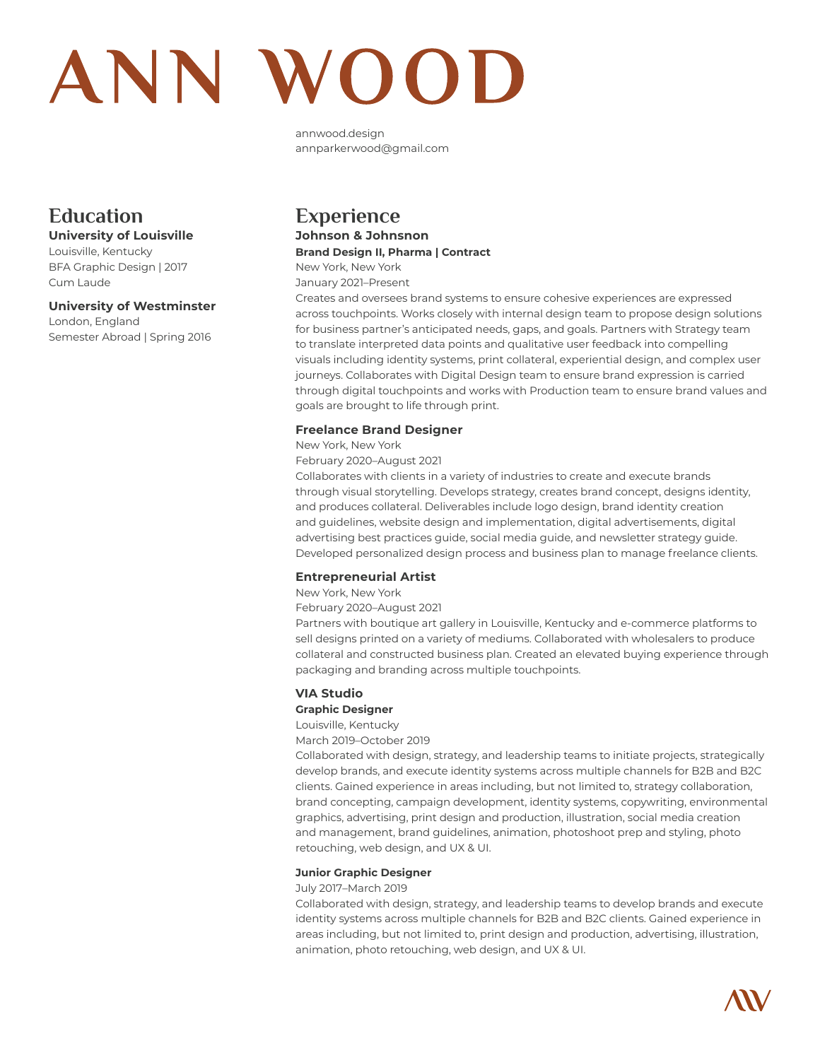# ANN WOOI

[annwood.design](https://www.annwood.design/) [annparkerwood@gmail.com](mailto:annparkerwood%40gmail.com%20?subject=) 

# **Education**

#### **University of Louisville**

Louisville, Kentucky BFA Graphic Design | 2017 Cum Laude

#### **University of Westminster**

London, England Semester Abroad | Spring 2016

# **Experience**

#### **Johnson & Johnsnon Brand Design II, Pharma | Contract** New York, New York January 2021–Present

Creates and oversees brand systems to ensure cohesive experiences are expressed across touchpoints. Works closely with internal design team to propose design solutions for business partner's anticipated needs, gaps, and goals. Partners with Strategy team to translate interpreted data points and qualitative user feedback into compelling visuals including identity systems, print collateral, experiential design, and complex user journeys. Collaborates with Digital Design team to ensure brand expression is carried through digital touchpoints and works with Production team to ensure brand values and goals are brought to life through print.

#### **Freelance Brand Designer**

New York, New York

February 2020–August 2021

Collaborates with clients in a variety of industries to create and execute brands through visual storytelling. Develops strategy, creates brand concept, designs identity, and produces collateral. Deliverables include logo design, brand identity creation and guidelines, website design and implementation, digital advertisements, digital advertising best practices guide, social media guide, and newsletter strategy guide. Developed personalized design process and business plan to manage freelance clients.

#### **Entrepreneurial Artist**

New York, New York

February 2020–August 2021

Partners with boutique art gallery in Louisville, Kentucky and e-commerce platforms to sell designs printed on a variety of mediums. Collaborated with wholesalers to produce collateral and constructed business plan. Created an elevated buying experience through packaging and branding across multiple touchpoints.

#### **VIA Studio Graphic Designer**

#### Louisville, Kentucky

March 2019–October 2019

Collaborated with design, strategy, and leadership teams to initiate projects, strategically develop brands, and execute identity systems across multiple channels for B2B and B2C clients. Gained experience in areas including, but not limited to, strategy collaboration, brand concepting, campaign development, identity systems, copywriting, environmental graphics, advertising, print design and production, illustration, social media creation and management, brand guidelines, animation, photoshoot prep and styling, photo retouching, web design, and UX & UI.

#### **Junior Graphic Designer**

#### July 2017–March 2019

Collaborated with design, strategy, and leadership teams to develop brands and execute identity systems across multiple channels for B2B and B2C clients. Gained experience in areas including, but not limited to, print design and production, advertising, illustration, animation, photo retouching, web design, and UX & UI.